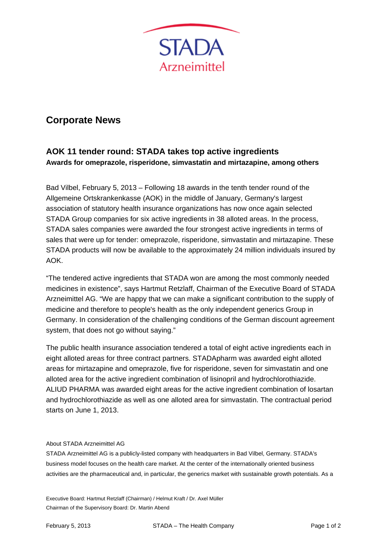

## **Corporate News**

## **AOK 11 tender round: STADA takes top active ingredients Awards for omeprazole, risperidone, simvastatin and mirtazapine, among others**

Bad Vilbel, February 5, 2013 – Following 18 awards in the tenth tender round of the Allgemeine Ortskrankenkasse (AOK) in the middle of January, Germany's largest association of statutory health insurance organizations has now once again selected STADA Group companies for six active ingredients in 38 alloted areas. In the process, STADA sales companies were awarded the four strongest active ingredients in terms of sales that were up for tender: omeprazole, risperidone, simvastatin and mirtazapine. These STADA products will now be available to the approximately 24 million individuals insured by AOK.

"The tendered active ingredients that STADA won are among the most commonly needed medicines in existence", says Hartmut Retzlaff, Chairman of the Executive Board of STADA Arzneimittel AG. "We are happy that we can make a significant contribution to the supply of medicine and therefore to people's health as the only independent generics Group in Germany. In consideration of the challenging conditions of the German discount agreement system, that does not go without saying."

The public health insurance association tendered a total of eight active ingredients each in eight alloted areas for three contract partners. STADApharm was awarded eight alloted areas for mirtazapine and omeprazole, five for risperidone, seven for simvastatin and one alloted area for the active ingredient combination of lisinopril and hydrochlorothiazide. ALIUD PHARMA was awarded eight areas for the active ingredient combination of losartan and hydrochlorothiazide as well as one alloted area for simvastatin. The contractual period starts on June 1, 2013.

## About STADA Arzneimittel AG

STADA Arzneimittel AG is a publicly-listed company with headquarters in Bad Vilbel, Germany. STADA's business model focuses on the health care market. At the center of the internationally oriented business activities are the pharmaceutical and, in particular, the generics market with sustainable growth potentials. As a

Executive Board: Hartmut Retzlaff (Chairman) / Helmut Kraft / Dr. Axel Müller Chairman of the Supervisory Board: Dr. Martin Abend